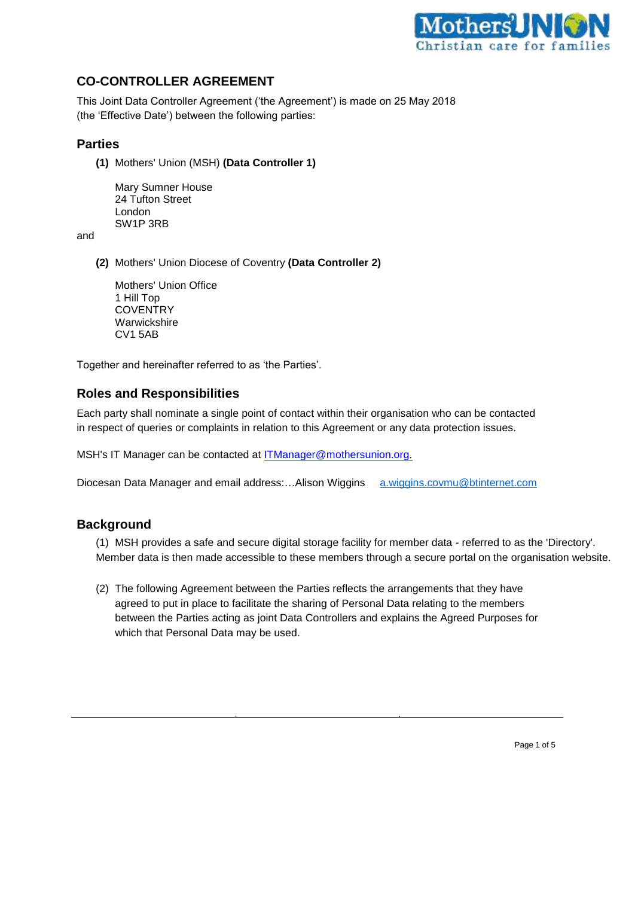

# **CO-CONTROLLER AGREEMENT**

This Joint Data Controller Agreement ('the Agreement') is made on 25 May 2018 (the 'Effective Date') between the following parties:

#### **Parties**

**(1)** Mothers' Union (MSH) **(Data Controller 1)**

Mary Sumner House 24 Tufton Street London SW1P 3RB

and

**(2)** Mothers' Union Diocese of Coventry **(Data Controller 2)**

Mothers' Union Office 1 Hill Top **COVENTRY Warwickshire** CV1 5AB

Together and hereinafter referred to as 'the Parties'.

#### **Roles and Responsibilities**

Each party shall nominate a single point of contact within their organisation who can be contacted in respect of queries or complaints in relation to this Agreement or any data protection issues.

MSH's IT Manager can be contacted at **ITManager@mothersunion.org**.

Diocesan Data Manager and email address:...Alison Wiggins [a.wiggins.covmu@btinternet.com](mailto:a.wiggins.covmu@btinternet.com)

## **Background**

(1) MSH provides a safe and secure digital storage facility for member data - referred to as the 'Directory'. Member data is then made accessible to these members through a secure portal on the organisation website.

(2) The following Agreement between the Parties reflects the arrangements that they have agreed to put in place to facilitate the sharing of Personal Data relating to the members between the Parties acting as joint Data Controllers and explains the Agreed Purposes for which that Personal Data may be used.

Page 1 of 5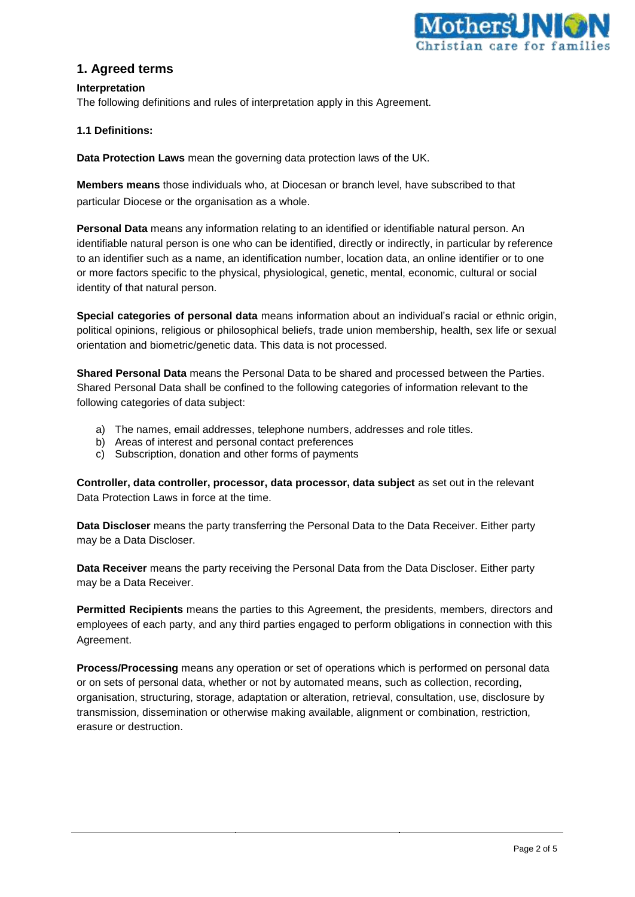

## **1. Agreed terms**

#### **Interpretation**

The following definitions and rules of interpretation apply in this Agreement.

#### **1.1 Definitions:**

**Data Protection Laws** mean the governing data protection laws of the UK.

**Members means** those individuals who, at Diocesan or branch level, have subscribed to that particular Diocese or the organisation as a whole.

**Personal Data** means any information relating to an identified or identifiable natural person. An identifiable natural person is one who can be identified, directly or indirectly, in particular by reference to an identifier such as a name, an identification number, location data, an online identifier or to one or more factors specific to the physical, physiological, genetic, mental, economic, cultural or social identity of that natural person.

**Special categories of personal data** means information about an individual's racial or ethnic origin, political opinions, religious or philosophical beliefs, trade union membership, health, sex life or sexual orientation and biometric/genetic data. This data is not processed.

**Shared Personal Data** means the Personal Data to be shared and processed between the Parties. Shared Personal Data shall be confined to the following categories of information relevant to the following categories of data subject:

- a) The names, email addresses, telephone numbers, addresses and role titles.
- b) Areas of interest and personal contact preferences
- c) Subscription, donation and other forms of payments

**Controller, data controller, processor, data processor, data subject** as set out in the relevant Data Protection Laws in force at the time.

**Data Discloser** means the party transferring the Personal Data to the Data Receiver. Either party may be a Data Discloser.

**Data Receiver** means the party receiving the Personal Data from the Data Discloser. Either party may be a Data Receiver.

**Permitted Recipients** means the parties to this Agreement, the presidents, members, directors and employees of each party, and any third parties engaged to perform obligations in connection with this Agreement.

**Process/Processing** means any operation or set of operations which is performed on personal data or on sets of personal data, whether or not by automated means, such as collection, recording, organisation, structuring, storage, adaptation or alteration, retrieval, consultation, use, disclosure by transmission, dissemination or otherwise making available, alignment or combination, restriction, erasure or destruction.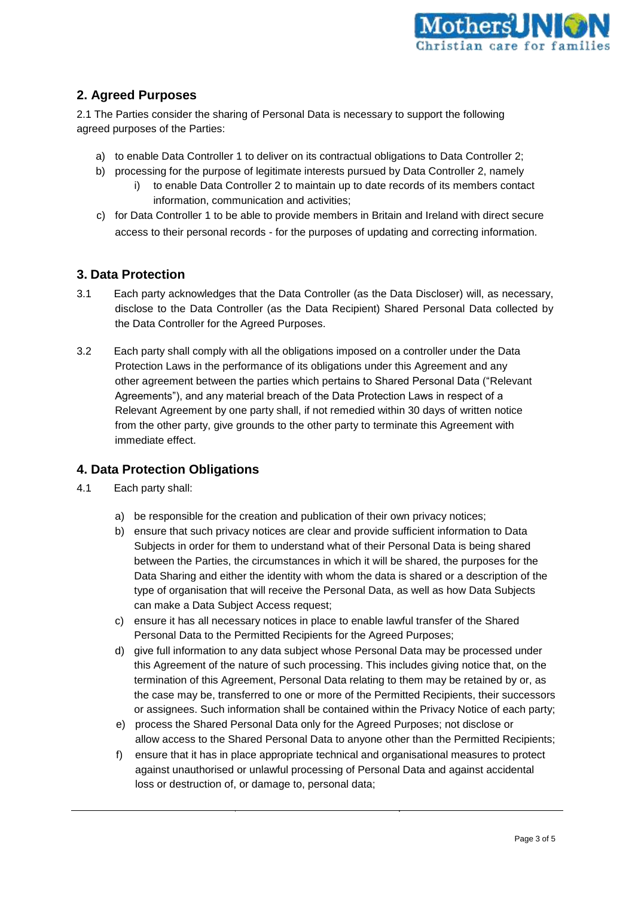

# **2. Agreed Purposes**

2.1 The Parties consider the sharing of Personal Data is necessary to support the following agreed purposes of the Parties:

- a) to enable Data Controller 1 to deliver on its contractual obligations to Data Controller 2;
- b) processing for the purpose of legitimate interests pursued by Data Controller 2, namely
	- i) to enable Data Controller 2 to maintain up to date records of its members contact information, communication and activities;
- c) for Data Controller 1 to be able to provide members in Britain and Ireland with direct secure access to their personal records - for the purposes of updating and correcting information.

## **3. Data Protection**

- 3.1 Each party acknowledges that the Data Controller (as the Data Discloser) will, as necessary, disclose to the Data Controller (as the Data Recipient) Shared Personal Data collected by the Data Controller for the Agreed Purposes.
- 3.2 Each party shall comply with all the obligations imposed on a controller under the Data Protection Laws in the performance of its obligations under this Agreement and any other agreement between the parties which pertains to Shared Personal Data ("Relevant Agreements"), and any material breach of the Data Protection Laws in respect of a Relevant Agreement by one party shall, if not remedied within 30 days of written notice from the other party, give grounds to the other party to terminate this Agreement with immediate effect.

## **4. Data Protection Obligations**

- 4.1 Each party shall:
	- a) be responsible for the creation and publication of their own privacy notices;
	- b) ensure that such privacy notices are clear and provide sufficient information to Data Subjects in order for them to understand what of their Personal Data is being shared between the Parties, the circumstances in which it will be shared, the purposes for the Data Sharing and either the identity with whom the data is shared or a description of the type of organisation that will receive the Personal Data, as well as how Data Subjects can make a Data Subject Access request;
	- c) ensure it has all necessary notices in place to enable lawful transfer of the Shared Personal Data to the Permitted Recipients for the Agreed Purposes;
	- d) give full information to any data subject whose Personal Data may be processed under this Agreement of the nature of such processing. This includes giving notice that, on the termination of this Agreement, Personal Data relating to them may be retained by or, as the case may be, transferred to one or more of the Permitted Recipients, their successors or assignees. Such information shall be contained within the Privacy Notice of each party;
	- e) process the Shared Personal Data only for the Agreed Purposes; not disclose or allow access to the Shared Personal Data to anyone other than the Permitted Recipients;
	- f) ensure that it has in place appropriate technical and organisational measures to protect against unauthorised or unlawful processing of Personal Data and against accidental loss or destruction of, or damage to, personal data;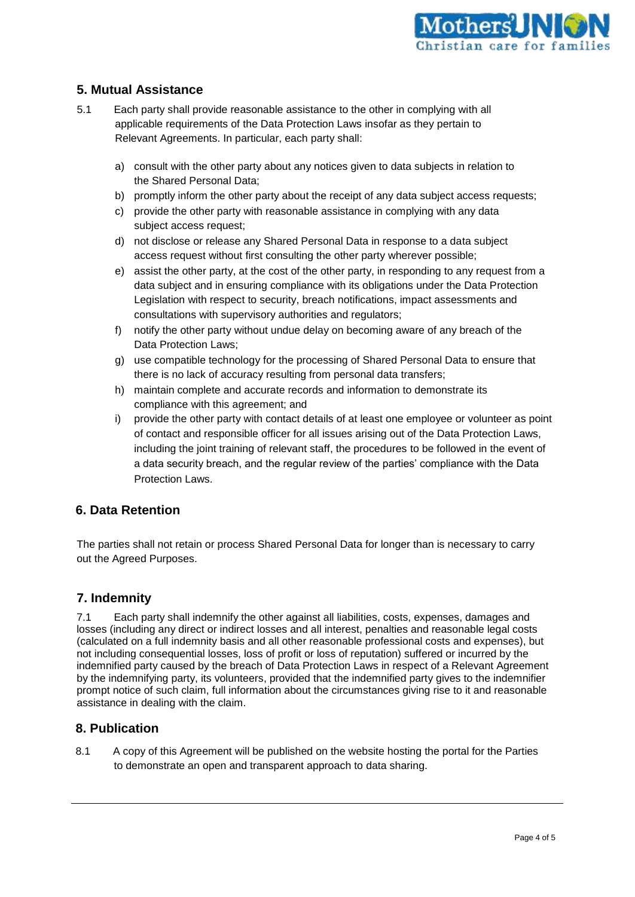

## **5. Mutual Assistance**

- 5.1 Each party shall provide reasonable assistance to the other in complying with all applicable requirements of the Data Protection Laws insofar as they pertain to Relevant Agreements. In particular, each party shall:
	- a) consult with the other party about any notices given to data subjects in relation to the Shared Personal Data;
	- b) promptly inform the other party about the receipt of any data subject access requests;
	- c) provide the other party with reasonable assistance in complying with any data subject access request;
	- d) not disclose or release any Shared Personal Data in response to a data subject access request without first consulting the other party wherever possible;
	- e) assist the other party, at the cost of the other party, in responding to any request from a data subject and in ensuring compliance with its obligations under the Data Protection Legislation with respect to security, breach notifications, impact assessments and consultations with supervisory authorities and regulators;
	- f) notify the other party without undue delay on becoming aware of any breach of the Data Protection Laws;
	- g) use compatible technology for the processing of Shared Personal Data to ensure that there is no lack of accuracy resulting from personal data transfers;
	- h) maintain complete and accurate records and information to demonstrate its compliance with this agreement; and
	- i) provide the other party with contact details of at least one employee or volunteer as point of contact and responsible officer for all issues arising out of the Data Protection Laws, including the joint training of relevant staff, the procedures to be followed in the event of a data security breach, and the regular review of the parties' compliance with the Data Protection Laws.

## **6. Data Retention**

The parties shall not retain or process Shared Personal Data for longer than is necessary to carry out the Agreed Purposes.

## **7. Indemnity**

7.1 Each party shall indemnify the other against all liabilities, costs, expenses, damages and losses (including any direct or indirect losses and all interest, penalties and reasonable legal costs (calculated on a full indemnity basis and all other reasonable professional costs and expenses), but not including consequential losses, loss of profit or loss of reputation) suffered or incurred by the indemnified party caused by the breach of Data Protection Laws in respect of a Relevant Agreement by the indemnifying party, its volunteers, provided that the indemnified party gives to the indemnifier prompt notice of such claim, full information about the circumstances giving rise to it and reasonable assistance in dealing with the claim.

## **8. Publication**

8.1 A copy of this Agreement will be published on the website hosting the portal for the Parties to demonstrate an open and transparent approach to data sharing.